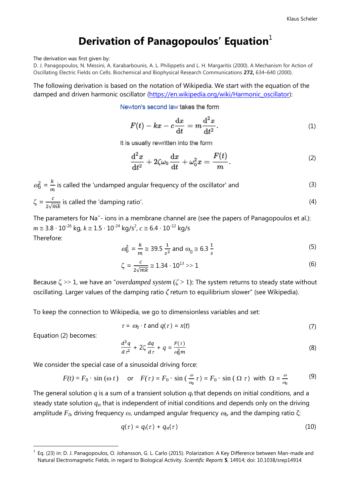# **Derivation of Panagopoulos' Equation**<sup>1</sup>

The derivation was first given by:

D. J. Panagopoulos, N. Messini, A. Karabarbounis, A. L. Philippetis and L. H. Margaritis (2000). A Mechanism for Action of Oscillating Electric Fields on Cells. Biochemical and Biophysical Research Communications **272,** 634–640 (2000).

The following derivation is based on the notation of Wikipedia. We start with the equation of the damped and driven harmonic oscillator [\(https://en.wikipedia.org/wiki/Harmonic\\_oscillator\)](https://en.wikipedia.org/wiki/Harmonic_oscillator):

Newton's second law takes the form

$$
F(t) - kx - c\frac{\mathrm{d}x}{\mathrm{d}t} = m\frac{\mathrm{d}^2x}{\mathrm{d}t^2}.
$$
 (1)

It is usually rewritten into the form

$$
\frac{\mathrm{d}^2x}{\mathrm{d}t^2} + 2\zeta\omega_0\frac{\mathrm{d}x}{\mathrm{d}t} + \omega_0^2x = \frac{F(t)}{m}.\tag{2}
$$

$$
\omega_0^2 = \frac{k}{m}
$$
 is called the 'undamped angular frequency of the oscillator' and  
\n
$$
\zeta = \frac{c}{2\sqrt{mk}}
$$
 is called the 'damping ratio'. (4)

The parameters for Na<sup>+</sup>- ions in a membrane channel are (see the papers of Panagopoulos et al.): *m* ≅ 3.8 · 10<sup>-26</sup> kg,  $k \approx 1.5 \cdot 10^{-24}$  kg/s<sup>2</sup>,  $c \approx 6.4 \cdot 10^{-12}$  kg/s Therefore:

$$
\omega_0^2 = \frac{k}{m} \approx 39.5 \frac{1}{s^2} \text{ and } \omega_0 \approx 6.3 \frac{1}{s}
$$
 (5)

$$
\zeta = \frac{c}{2\sqrt{mk}} \approx 1.34 \cdot 10^{13} >> 1\tag{6}
$$

Because  $\zeta \gg 1$ , we have an "*overdamped system* ( $\zeta > 1$ ): The system returns to steady state without oscillating. Larger values of the damping ratio *ζ* return to equilibrium slower" (see Wikipedia).

To keep the connection to Wikipedia, we go to dimensionless variables and set:

$$
\tau = \omega_0 \cdot t \text{ and } q(\tau) = x(t) \tag{7}
$$

Equation (2) becomes:

1

$$
\frac{d^2q}{d\tau^2} + 2\zeta \frac{dq}{d\tau} + q = \frac{F(\tau)}{\omega_0^2 m}
$$
 (8)

We consider the special case of a sinusoidal driving force:

$$
F(t) = F_0 \cdot \sin(\omega t) \quad \text{or} \quad F(\tau) = F_0 \cdot \sin\left(\frac{\omega}{\omega_0}\tau\right) = F_0 \cdot \sin\left(\Omega \tau\right) \text{ with } \Omega = \frac{\omega}{\omega_0} \tag{9}
$$

The general solution  $q$  is a sum of a transient solution  $q_t$  that depends on initial conditions, and a steady state solution  $q_{st}$  that is independent of initial conditions and depends only on the driving amplitude  $F_0$ , driving frequency  $\omega$ , undamped angular frequency  $\omega_0$ , and the damping ratio  $\zeta$ :

$$
q(\tau) = q_t(\tau) + q_{st}(\tau) \tag{10}
$$

<sup>1</sup> Eq. (23) in: D. J. Panagopoulos, O. Johansson, G. L. Carlo (2015). Polarization: A Key Difference between Man-made and Natural Electromagnetic Fields, in regard to Biological Activity. *Scientific Reports* **5**, 14914; doi: 10.1038/srep14914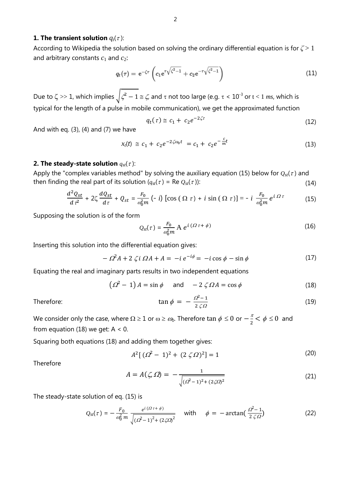## **1. The transient solution**  $q_t(\tau)$ :

According to Wikipedia the solution based on solving the ordinary differential equation is for *ζ* > 1 and arbitrary constants  $c_1$  and  $c_2$ :

$$
q_t(\tau) = e^{-\zeta \tau} \left( c_1 e^{\tau \sqrt{\zeta^2 - 1}} + c_2 e^{-\tau \sqrt{\zeta^2 - 1}} \right)
$$
 (11)

Due to  $\zeta \gg 1$ , which implies  $\int \zeta^2 - 1 \leq \zeta$ , and  $\tau$  not too large (e.g.  $\tau < 10^{-3}$  or  $t < 1$  ms, which is typical for the length of a pulse in mobile communication), we get the approximated function

$$
q_t(\tau) \cong c_1 + c_2 e^{-2\zeta \tau} \tag{12}
$$

And with eq.  $(3)$ ,  $(4)$  and  $(7)$  we have

$$
x_t(t) \cong c_1 + c_2 e^{-2\zeta \omega_0 t} = c_1 + c_2 e^{-\frac{c}{m}t}
$$
\n(13)

## **2. The steady-state solution**  $q_{st}(\tau)$ :

Apply the ["complex variables](https://en.wikipedia.org/wiki/Complex_analysis) method" by solving the auxiliary equation (15) below for  $Q_{st}(\tau)$  and then finding the real part of its solution  $(q_{st}(\tau) = \text{Re } Q_{st}(\tau))$ : (14)

$$
\frac{d^2Q_{st}}{d\tau^2} + 2\zeta \frac{dQ_{st}}{d\tau} + Q_{st} = \frac{F_0}{\omega_0^2 m} \left( -i \right) \left[ \cos \left( \Omega \tau \right) + i \sin \left( \Omega \tau \right) \right] = -i \frac{F_0}{\omega_0^2 m} e^{i \Omega \tau} \tag{15}
$$

Supposing the solution is of the form

$$
Q_{st}(\tau) = \frac{F_0}{\omega_0^2 m} A e^{i(\Omega \tau + \phi)}
$$
 (16)

Inserting this solution into the differential equation gives:

$$
- \Omega^2 A + 2 \zeta i \Omega A + A = -i e^{-i\phi} = -i \cos \phi - \sin \phi \tag{17}
$$

Equating the real and imaginary parts results in two independent equations

$$
(22 - 1) A = \sin \phi \quad \text{and} \quad -2 \zeta \Omega A = \cos \phi \tag{18}
$$

Therefore:

$$
\tan \phi = -\frac{\Omega^2 - 1}{2 \zeta \Omega} \tag{19}
$$

We consider only the case, where  $\Omega \geq 1$  or  $\omega \geq \omega_0$ . Therefore  $\tan \phi \leq 0$  or  $-\frac{\pi}{2}$  $\frac{\pi}{2} < \phi \leq 0$  and from equation (18) we get:  $A < 0$ .

Squaring both equations (18) and adding them together gives:

$$
A^{2}[(\Omega^{2} - 1)^{2} + (2 \zeta \Omega)^{2}] = 1
$$
\n(20)

Therefore

$$
A = A(\zeta, \Omega) = -\frac{1}{\sqrt{(\Omega^2 - 1)^2 + (2\zeta\Omega)^2}}
$$
(21)

The steady-state solution of eq. (15) is

$$
Q_{st}(\tau) = -\frac{F_0}{\omega_0^2 m} \frac{e^{i(\Omega \tau + \phi)}}{\sqrt{(\Omega^2 - 1)^2 + (2\zeta \Omega)^2}} \quad \text{with} \quad \phi = -\arctan(\frac{\Omega^2 - 1}{2\zeta \Omega}) \tag{22}
$$